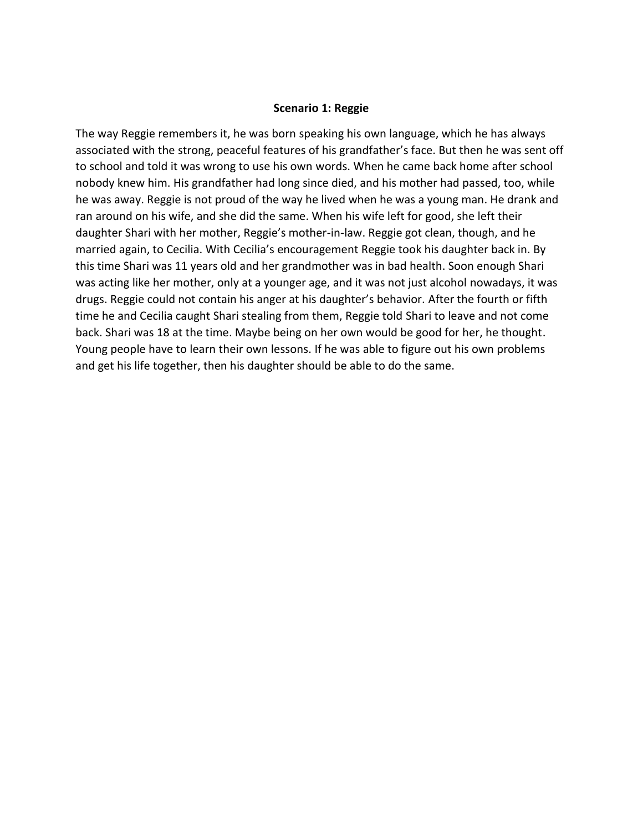## **Scenario 1: Reggie**

The way Reggie remembers it, he was born speaking his own language, which he has always associated with the strong, peaceful features of his grandfather's face. But then he was sent off to school and told it was wrong to use his own words. When he came back home after school nobody knew him. His grandfather had long since died, and his mother had passed, too, while he was away. Reggie is not proud of the way he lived when he was a young man. He drank and ran around on his wife, and she did the same. When his wife left for good, she left their daughter Shari with her mother, Reggie's mother-in-law. Reggie got clean, though, and he married again, to Cecilia. With Cecilia's encouragement Reggie took his daughter back in. By this time Shari was 11 years old and her grandmother was in bad health. Soon enough Shari was acting like her mother, only at a younger age, and it was not just alcohol nowadays, it was drugs. Reggie could not contain his anger at his daughter's behavior. After the fourth or fifth time he and Cecilia caught Shari stealing from them, Reggie told Shari to leave and not come back. Shari was 18 at the time. Maybe being on her own would be good for her, he thought. Young people have to learn their own lessons. If he was able to figure out his own problems and get his life together, then his daughter should be able to do the same.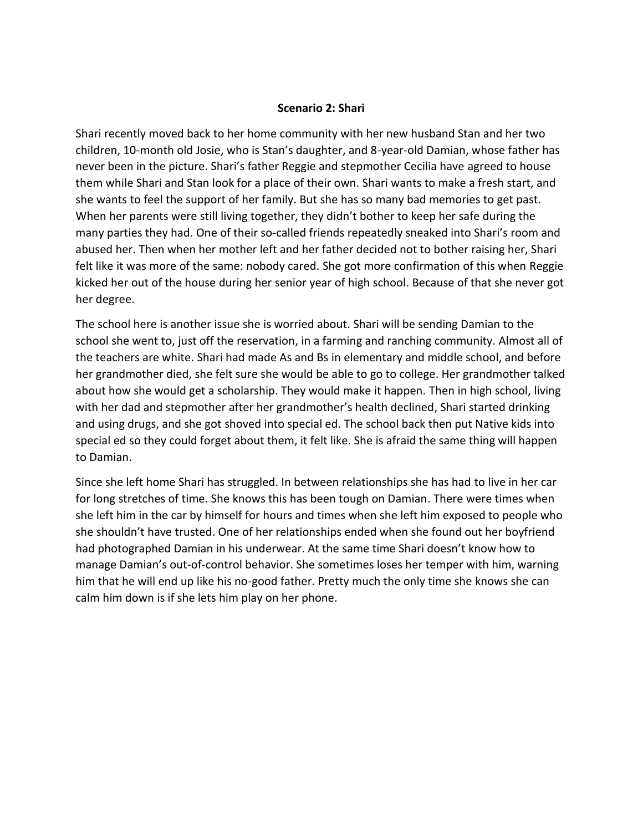## **Scenario 2: Shari**

Shari recently moved back to her home community with her new husband Stan and her two children, 10-month old Josie, who is Stan's daughter, and 8-year-old Damian, whose father has never been in the picture. Shari's father Reggie and stepmother Cecilia have agreed to house them while Shari and Stan look for a place of their own. Shari wants to make a fresh start, and she wants to feel the support of her family. But she has so many bad memories to get past. When her parents were still living together, they didn't bother to keep her safe during the many parties they had. One of their so-called friends repeatedly sneaked into Shari's room and abused her. Then when her mother left and her father decided not to bother raising her, Shari felt like it was more of the same: nobody cared. She got more confirmation of this when Reggie kicked her out of the house during her senior year of high school. Because of that she never got her degree.

The school here is another issue she is worried about. Shari will be sending Damian to the school she went to, just off the reservation, in a farming and ranching community. Almost all of the teachers are white. Shari had made As and Bs in elementary and middle school, and before her grandmother died, she felt sure she would be able to go to college. Her grandmother talked about how she would get a scholarship. They would make it happen. Then in high school, living with her dad and stepmother after her grandmother's health declined, Shari started drinking and using drugs, and she got shoved into special ed. The school back then put Native kids into special ed so they could forget about them, it felt like. She is afraid the same thing will happen to Damian.

Since she left home Shari has struggled. In between relationships she has had to live in her car for long stretches of time. She knows this has been tough on Damian. There were times when she left him in the car by himself for hours and times when she left him exposed to people who she shouldn't have trusted. One of her relationships ended when she found out her boyfriend had photographed Damian in his underwear. At the same time Shari doesn't know how to manage Damian's out-of-control behavior. She sometimes loses her temper with him, warning him that he will end up like his no-good father. Pretty much the only time she knows she can calm him down is if she lets him play on her phone.